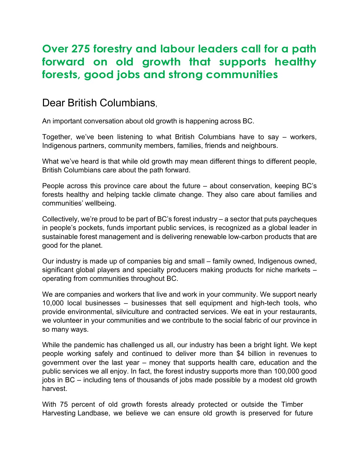## **Over 275 forestry and labour leaders call for a path forward on old growth that supports healthy forests, good jobs and strong communities**

## Dear British Columbians,

An important conversation about old growth is happening across BC.

Together, we've been listening to what British Columbians have to say – workers, Indigenous partners, community members, families, friends and neighbours.

What we've heard is that while old growth may mean different things to different people, British Columbians care about the path forward.

People across this province care about the future – about conservation, keeping BC's forests healthy and helping tackle climate change. They also care about families and communities' wellbeing.

Collectively, we're proud to be part of BC's forest industry – a sector that puts paycheques in people's pockets, funds important public services, is recognized as a global leader in sustainable forest management and is delivering renewable low-carbon products that are good for the planet.

Our industry is made up of companies big and small – family owned, Indigenous owned, significant global players and specialty producers making products for niche markets – operating from communities throughout BC.

We are companies and workers that live and work in your community. We support nearly 10,000 local businesses – businesses that sell equipment and high-tech tools, who provide environmental, silviculture and contracted services. We eat in your restaurants, we volunteer in your communities and we contribute to the social fabric of our province in so many ways.

While the pandemic has challenged us all, our industry has been a bright light. We kept people working safely and continued to deliver more than \$4 billion in revenues to government over the last year – money that supports health care, education and the public services we all enjoy. In fact, the forest industry supports more than 100,000 good jobs in BC – including tens of thousands of jobs made possible by a modest old growth harvest.

With 75 percent of old growth forests already protected or outside the Timber Harvesting Landbase, we believe we can ensure old growth is preserved for future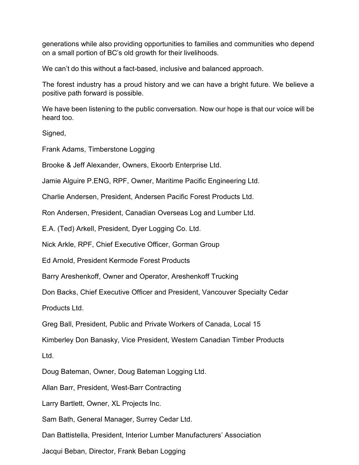generations while also providing opportunities to families and communities who depend on a small portion of BC's old growth for their livelihoods.

We can't do this without a fact-based, inclusive and balanced approach.

The forest industry has a proud history and we can have a bright future. We believe a positive path forward is possible.

We have been listening to the public conversation. Now our hope is that our voice will be heard too.

Signed,

Frank Adams, Timberstone Logging

Brooke & Jeff Alexander, Owners, Ekoorb Enterprise Ltd.

Jamie Alguire P.ENG, RPF, Owner, Maritime Pacific Engineering Ltd.

Charlie Andersen, President, Andersen Pacific Forest Products Ltd.

Ron Andersen, President, Canadian Overseas Log and Lumber Ltd.

E.A. (Ted) Arkell, President, Dyer Logging Co. Ltd.

Nick Arkle, RPF, Chief Executive Officer, Gorman Group

Ed Arnold, President Kermode Forest Products

Barry Areshenkoff, Owner and Operator, Areshenkoff Trucking

Don Backs, Chief Executive Officer and President, Vancouver Specialty Cedar

Products Ltd.

Greg Ball, President, Public and Private Workers of Canada, Local 15

Kimberley Don Banasky, Vice President, Western Canadian Timber Products

Ltd.

Doug Bateman, Owner, Doug Bateman Logging Ltd.

Allan Barr, President, West-Barr Contracting

Larry Bartlett, Owner, XL Projects Inc.

Sam Bath, General Manager, Surrey Cedar Ltd.

Dan Battistella, President, Interior Lumber Manufacturers' Association

Jacqui Beban, Director, Frank Beban Logging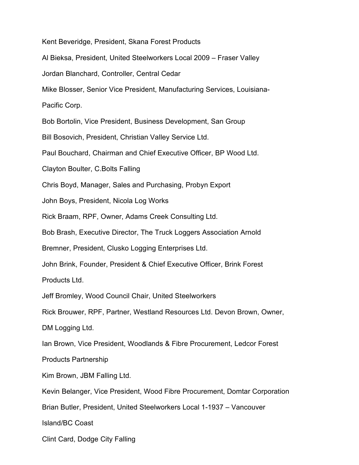Kent Beveridge, President, Skana Forest Products

Al Bieksa, President, United Steelworkers Local 2009 – Fraser Valley

Jordan Blanchard, Controller, Central Cedar

Mike Blosser, Senior Vice President, Manufacturing Services, Louisiana-

Pacific Corp.

Bob Bortolin, Vice President, Business Development, San Group

Bill Bosovich, President, Christian Valley Service Ltd.

Paul Bouchard, Chairman and Chief Executive Officer, BP Wood Ltd.

Clayton Boulter, C.Bolts Falling

Chris Boyd, Manager, Sales and Purchasing, Probyn Export

John Boys, President, Nicola Log Works

Rick Braam, RPF, Owner, Adams Creek Consulting Ltd.

Bob Brash, Executive Director, The Truck Loggers Association Arnold

Bremner, President, Clusko Logging Enterprises Ltd.

John Brink, Founder, President & Chief Executive Officer, Brink Forest

Products Ltd.

Jeff Bromley, Wood Council Chair, United Steelworkers

Rick Brouwer, RPF, Partner, Westland Resources Ltd. Devon Brown, Owner,

DM Logging Ltd.

Ian Brown, Vice President, Woodlands & Fibre Procurement, Ledcor Forest

Products Partnership

Kim Brown, JBM Falling Ltd.

Kevin Belanger, Vice President, Wood Fibre Procurement, Domtar Corporation

Brian Butler, President, United Steelworkers Local 1-1937 – Vancouver

Island/BC Coast

Clint Card, Dodge City Falling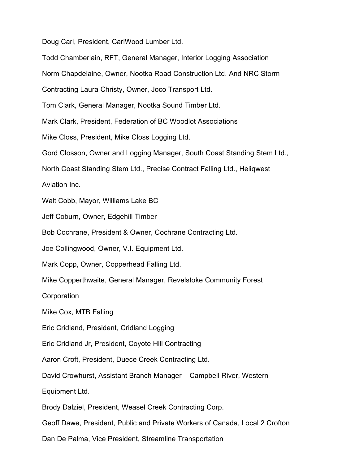Doug Carl, President, CarlWood Lumber Ltd.

Todd Chamberlain, RFT, General Manager, Interior Logging Association Norm Chapdelaine, Owner, Nootka Road Construction Ltd. And NRC Storm Contracting Laura Christy, Owner, Joco Transport Ltd. Tom Clark, General Manager, Nootka Sound Timber Ltd. Mark Clark, President, Federation of BC Woodlot Associations Mike Closs, President, Mike Closs Logging Ltd. Gord Closson, Owner and Logging Manager, South Coast Standing Stem Ltd., North Coast Standing Stem Ltd., Precise Contract Falling Ltd., Heliqwest Aviation Inc. Walt Cobb, Mayor, Williams Lake BC Jeff Coburn, Owner, Edgehill Timber Bob Cochrane, President & Owner, Cochrane Contracting Ltd. Joe Collingwood, Owner, V.I. Equipment Ltd. Mark Copp, Owner, Copperhead Falling Ltd. Mike Copperthwaite, General Manager, Revelstoke Community Forest Corporation Mike Cox, MTB Falling Eric Cridland, President, Cridland Logging Eric Cridland Jr, President, Coyote Hill Contracting Aaron Croft, President, Duece Creek Contracting Ltd. David Crowhurst, Assistant Branch Manager – Campbell River, Western Equipment Ltd. Brody Dalziel, President, Weasel Creek Contracting Corp. Geoff Dawe, President, Public and Private Workers of Canada, Local 2 Crofton Dan De Palma, Vice President, Streamline Transportation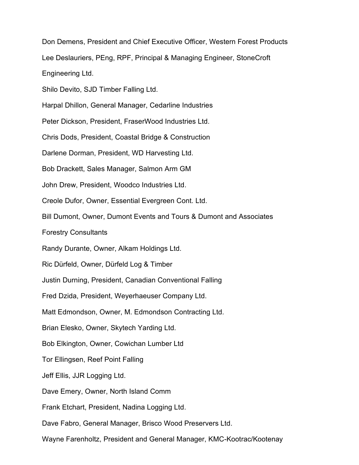Don Demens, President and Chief Executive Officer, Western Forest Products

Lee Deslauriers, PEng, RPF, Principal & Managing Engineer, StoneCroft

Engineering Ltd.

Shilo Devito, SJD Timber Falling Ltd.

Harpal Dhillon, General Manager, Cedarline Industries

Peter Dickson, President, FraserWood Industries Ltd.

Chris Dods, President, Coastal Bridge & Construction

Darlene Dorman, President, WD Harvesting Ltd.

Bob Drackett, Sales Manager, Salmon Arm GM

John Drew, President, Woodco Industries Ltd.

Creole Dufor, Owner, Essential Evergreen Cont. Ltd.

Bill Dumont, Owner, Dumont Events and Tours & Dumont and Associates

Forestry Consultants

Randy Durante, Owner, Alkam Holdings Ltd.

Ric Dürfeld, Owner, Dürfeld Log & Timber

Justin Durning, President, Canadian Conventional Falling

Fred Dzida, President, Weyerhaeuser Company Ltd.

Matt Edmondson, Owner, M. Edmondson Contracting Ltd.

Brian Elesko, Owner, Skytech Yarding Ltd.

Bob Elkington, Owner, Cowichan Lumber Ltd

Tor Ellingsen, Reef Point Falling

Jeff Ellis, JJR Logging Ltd.

Dave Emery, Owner, North Island Comm

Frank Etchart, President, Nadina Logging Ltd.

Dave Fabro, General Manager, Brisco Wood Preservers Ltd.

Wayne Farenholtz, President and General Manager, KMC-Kootrac/Kootenay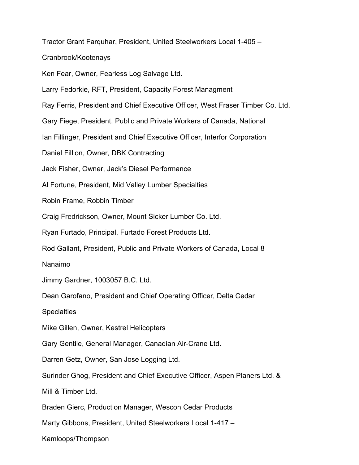Tractor Grant Farquhar, President, United Steelworkers Local 1-405 –

Cranbrook/Kootenays

Ken Fear, Owner, Fearless Log Salvage Ltd.

Larry Fedorkie, RFT, President, Capacity Forest Managment

Ray Ferris, President and Chief Executive Officer, West Fraser Timber Co. Ltd.

Gary Fiege, President, Public and Private Workers of Canada, National

Ian Fillinger, President and Chief Executive Officer, Interfor Corporation

Daniel Fillion, Owner, DBK Contracting

Jack Fisher, Owner, Jack's Diesel Performance

Al Fortune, President, Mid Valley Lumber Specialties

Robin Frame, Robbin Timber

Craig Fredrickson, Owner, Mount Sicker Lumber Co. Ltd.

Ryan Furtado, Principal, Furtado Forest Products Ltd.

Rod Gallant, President, Public and Private Workers of Canada, Local 8

Nanaimo

Jimmy Gardner, 1003057 B.C. Ltd.

Dean Garofano, President and Chief Operating Officer, Delta Cedar

**Specialties** 

Mike Gillen, Owner, Kestrel Helicopters

Gary Gentile, General Manager, Canadian Air-Crane Ltd.

Darren Getz, Owner, San Jose Logging Ltd.

Surinder Ghog, President and Chief Executive Officer, Aspen Planers Ltd. &

Mill & Timber Ltd.

Braden Gierc, Production Manager, Wescon Cedar Products

Marty Gibbons, President, United Steelworkers Local 1-417 –

Kamloops/Thompson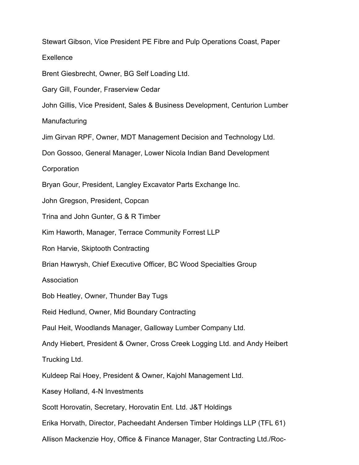Stewart Gibson, Vice President PE Fibre and Pulp Operations Coast, Paper **Exellence** Brent Giesbrecht, Owner, BG Self Loading Ltd. Gary Gill, Founder, Fraserview Cedar John Gillis, Vice President, Sales & Business Development, Centurion Lumber **Manufacturing** Jim Girvan RPF, Owner, MDT Management Decision and Technology Ltd. Don Gossoo, General Manager, Lower Nicola Indian Band Development **Corporation** Bryan Gour, President, Langley Excavator Parts Exchange Inc. John Gregson, President, Copcan Trina and John Gunter, G & R Timber Kim Haworth, Manager, Terrace Community Forrest LLP Ron Harvie, Skiptooth Contracting Brian Hawrysh, Chief Executive Officer, BC Wood Specialties Group Association Bob Heatley, Owner, Thunder Bay Tugs Reid Hedlund, Owner, Mid Boundary Contracting Paul Heit, Woodlands Manager, Galloway Lumber Company Ltd. Andy Hiebert, President & Owner, Cross Creek Logging Ltd. and Andy Heibert Trucking Ltd. Kuldeep Rai Hoey, President & Owner, Kajohl Management Ltd. Kasey Holland, 4-N Investments Scott Horovatin, Secretary, Horovatin Ent. Ltd. J&T Holdings Erika Horvath, Director, Pacheedaht Andersen Timber Holdings LLP (TFL 61) Allison Mackenzie Hoy, Office & Finance Manager, Star Contracting Ltd./Roc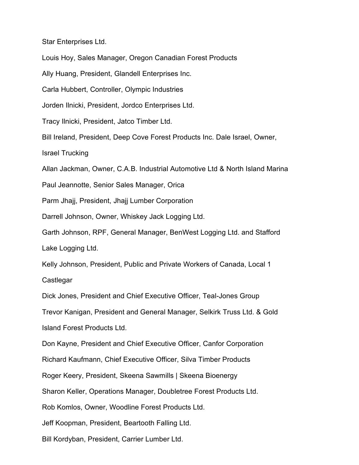Star Enterprises Ltd.

Louis Hoy, Sales Manager, Oregon Canadian Forest Products

Ally Huang, President, Glandell Enterprises Inc.

Carla Hubbert, Controller, Olympic Industries

Jorden Ilnicki, President, Jordco Enterprises Ltd.

Tracy Ilnicki, President, Jatco Timber Ltd.

Bill Ireland, President, Deep Cove Forest Products Inc. Dale Israel, Owner,

Israel Trucking

Allan Jackman, Owner, C.A.B. Industrial Automotive Ltd & North Island Marina

Paul Jeannotte, Senior Sales Manager, Orica

Parm Jhajj, President, Jhajj Lumber Corporation

Darrell Johnson, Owner, Whiskey Jack Logging Ltd.

Garth Johnson, RPF, General Manager, BenWest Logging Ltd. and Stafford Lake Logging Ltd.

Kelly Johnson, President, Public and Private Workers of Canada, Local 1

Castlegar

Dick Jones, President and Chief Executive Officer, Teal-Jones Group

Trevor Kanigan, President and General Manager, Selkirk Truss Ltd. & Gold

Island Forest Products Ltd.

Don Kayne, President and Chief Executive Officer, Canfor Corporation

Richard Kaufmann, Chief Executive Officer, Silva Timber Products

Roger Keery, President, Skeena Sawmills | Skeena Bioenergy

Sharon Keller, Operations Manager, Doubletree Forest Products Ltd.

Rob Komlos, Owner, Woodline Forest Products Ltd.

Jeff Koopman, President, Beartooth Falling Ltd.

Bill Kordyban, President, Carrier Lumber Ltd.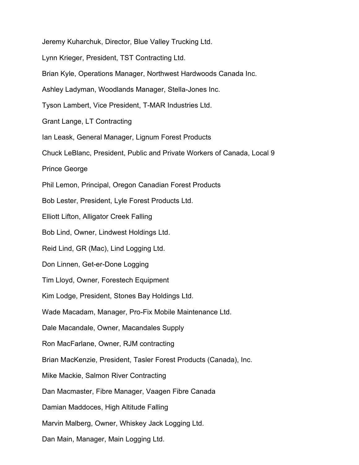Jeremy Kuharchuk, Director, Blue Valley Trucking Ltd. Lynn Krieger, President, TST Contracting Ltd. Brian Kyle, Operations Manager, Northwest Hardwoods Canada Inc. Ashley Ladyman, Woodlands Manager, Stella-Jones Inc. Tyson Lambert, Vice President, T-MAR Industries Ltd. Grant Lange, LT Contracting Ian Leask, General Manager, Lignum Forest Products Chuck LeBlanc, President, Public and Private Workers of Canada, Local 9 Prince George Phil Lemon, Principal, Oregon Canadian Forest Products Bob Lester, President, Lyle Forest Products Ltd. Elliott Lifton, Alligator Creek Falling Bob Lind, Owner, Lindwest Holdings Ltd. Reid Lind, GR (Mac), Lind Logging Ltd. Don Linnen, Get-er-Done Logging Tim Lloyd, Owner, Forestech Equipment Kim Lodge, President, Stones Bay Holdings Ltd. Wade Macadam, Manager, Pro-Fix Mobile Maintenance Ltd. Dale Macandale, Owner, Macandales Supply Ron MacFarlane, Owner, RJM contracting Brian MacKenzie, President, Tasler Forest Products (Canada), Inc. Mike Mackie, Salmon River Contracting Dan Macmaster, Fibre Manager, Vaagen Fibre Canada Damian Maddoces, High Altitude Falling Marvin Malberg, Owner, Whiskey Jack Logging Ltd. Dan Main, Manager, Main Logging Ltd.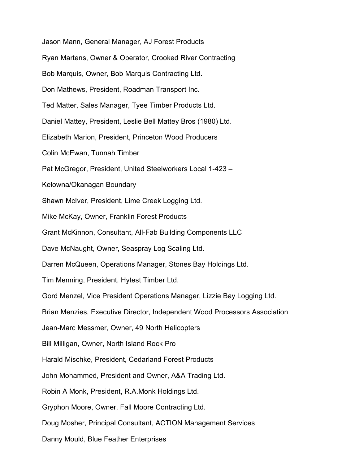Jason Mann, General Manager, AJ Forest Products Ryan Martens, Owner & Operator, Crooked River Contracting Bob Marquis, Owner, Bob Marquis Contracting Ltd. Don Mathews, President, Roadman Transport Inc. Ted Matter, Sales Manager, Tyee Timber Products Ltd. Daniel Mattey, President, Leslie Bell Mattey Bros (1980) Ltd. Elizabeth Marion, President, Princeton Wood Producers Colin McEwan, Tunnah Timber Pat McGregor, President, United Steelworkers Local 1-423 – Kelowna/Okanagan Boundary Shawn McIver, President, Lime Creek Logging Ltd. Mike McKay, Owner, Franklin Forest Products Grant McKinnon, Consultant, All-Fab Building Components LLC Dave McNaught, Owner, Seaspray Log Scaling Ltd. Darren McQueen, Operations Manager, Stones Bay Holdings Ltd. Tim Menning, President, Hytest Timber Ltd. Gord Menzel, Vice President Operations Manager, Lizzie Bay Logging Ltd. Brian Menzies, Executive Director, Independent Wood Processors Association Jean-Marc Messmer, Owner, 49 North Helicopters Bill Milligan, Owner, North Island Rock Pro Harald Mischke, President, Cedarland Forest Products John Mohammed, President and Owner, A&A Trading Ltd. Robin A Monk, President, R.A.Monk Holdings Ltd. Gryphon Moore, Owner, Fall Moore Contracting Ltd. Doug Mosher, Principal Consultant, ACTION Management Services Danny Mould, Blue Feather Enterprises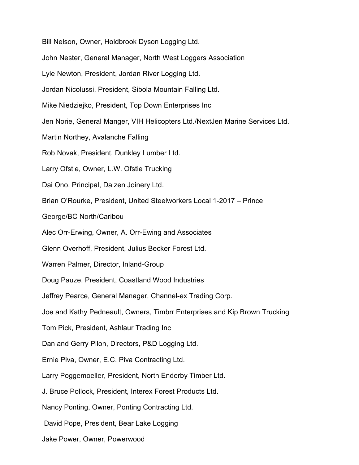Bill Nelson, Owner, Holdbrook Dyson Logging Ltd. John Nester, General Manager, North West Loggers Association Lyle Newton, President, Jordan River Logging Ltd. Jordan Nicolussi, President, Sibola Mountain Falling Ltd. Mike Niedziejko, President, Top Down Enterprises Inc Jen Norie, General Manger, VIH Helicopters Ltd./NextJen Marine Services Ltd. Martin Northey, Avalanche Falling Rob Novak, President, Dunkley Lumber Ltd. Larry Ofstie, Owner, L.W. Ofstie Trucking Dai Ono, Principal, Daizen Joinery Ltd. Brian O'Rourke, President, United Steelworkers Local 1-2017 – Prince George/BC North/Caribou Alec Orr-Erwing, Owner, A. Orr-Ewing and Associates Glenn Overhoff, President, Julius Becker Forest Ltd. Warren Palmer, Director, Inland-Group Doug Pauze, President, Coastland Wood Industries Jeffrey Pearce, General Manager, Channel-ex Trading Corp. Joe and Kathy Pedneault, Owners, Timbrr Enterprises and Kip Brown Trucking Tom Pick, President, Ashlaur Trading Inc Dan and Gerry Pilon, Directors, P&D Logging Ltd. Ernie Piva, Owner, E.C. Piva Contracting Ltd. Larry Poggemoeller, President, North Enderby Timber Ltd. J. Bruce Pollock, President, Interex Forest Products Ltd. Nancy Ponting, Owner, Ponting Contracting Ltd. David Pope, President, Bear Lake Logging Jake Power, Owner, Powerwood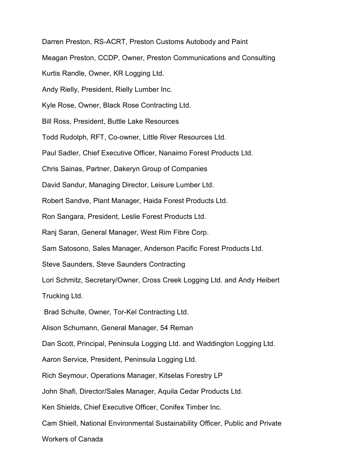Darren Preston, RS-ACRT, Preston Customs Autobody and Paint

Meagan Preston, CCDP, Owner, Preston Communications and Consulting

Kurtis Randle, Owner, KR Logging Ltd.

Andy Rielly, President, Rielly Lumber Inc.

Kyle Rose, Owner, Black Rose Contracting Ltd.

Bill Ross, President, Buttle Lake Resources

Todd Rudolph, RFT, Co-owner, Little River Resources Ltd.

Paul Sadler, Chief Executive Officer, Nanaimo Forest Products Ltd.

Chris Sainas, Partner, Dakeryn Group of Companies

David Sandur, Managing Director, Leisure Lumber Ltd.

Robert Sandve, Plant Manager, Haida Forest Products Ltd.

Ron Sangara, President, Leslie Forest Products Ltd.

Ranj Saran, General Manager, West Rim Fibre Corp.

Sam Satosono, Sales Manager, Anderson Pacific Forest Products Ltd.

Steve Saunders, Steve Saunders Contracting

Lori Schmitz, Secretary/Owner, Cross Creek Logging Ltd. and Andy Heibert

Trucking Ltd.

Brad Schulte, Owner, Tor-Kel Contracting Ltd.

Alison Schumann, General Manager, 54 Reman

Dan Scott, Principal, Peninsula Logging Ltd. and Waddington Logging Ltd.

Aaron Service, President, Peninsula Logging Ltd.

Rich Seymour, Operations Manager, Kitselas Forestry LP

John Shafi, Director/Sales Manager, Aquila Cedar Products Ltd.

Ken Shields, Chief Executive Officer, Conifex Timber Inc.

Cam Shiell, National Environmental Sustainability Officer, Public and Private

Workers of Canada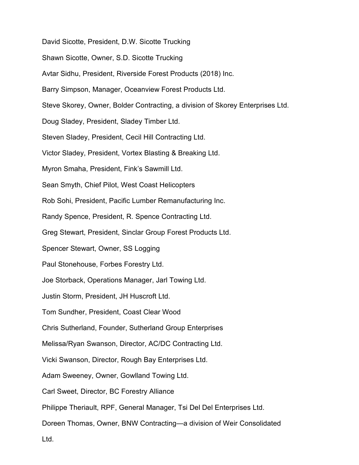David Sicotte, President, D.W. Sicotte Trucking

- Shawn Sicotte, Owner, S.D. Sicotte Trucking
- Avtar Sidhu, President, Riverside Forest Products (2018) Inc.
- Barry Simpson, Manager, Oceanview Forest Products Ltd.
- Steve Skorey, Owner, Bolder Contracting, a division of Skorey Enterprises Ltd.
- Doug Sladey, President, Sladey Timber Ltd.
- Steven Sladey, President, Cecil Hill Contracting Ltd.
- Victor Sladey, President, Vortex Blasting & Breaking Ltd.
- Myron Smaha, President, Fink's Sawmill Ltd.
- Sean Smyth, Chief Pilot, West Coast Helicopters
- Rob Sohi, President, Pacific Lumber Remanufacturing Inc.
- Randy Spence, President, R. Spence Contracting Ltd.
- Greg Stewart, President, Sinclar Group Forest Products Ltd.
- Spencer Stewart, Owner, SS Logging
- Paul Stonehouse, Forbes Forestry Ltd.
- Joe Storback, Operations Manager, Jarl Towing Ltd.
- Justin Storm, President, JH Huscroft Ltd.
- Tom Sundher, President, Coast Clear Wood
- Chris Sutherland, Founder, Sutherland Group Enterprises
- Melissa/Ryan Swanson, Director, AC/DC Contracting Ltd.
- Vicki Swanson, Director, Rough Bay Enterprises Ltd.
- Adam Sweeney, Owner, Gowlland Towing Ltd.
- Carl Sweet, Director, BC Forestry Alliance
- Philippe Theriault, RPF, General Manager, Tsi Del Del Enterprises Ltd.
- Doreen Thomas, Owner, BNW Contracting—a division of Weir Consolidated
- Ltd.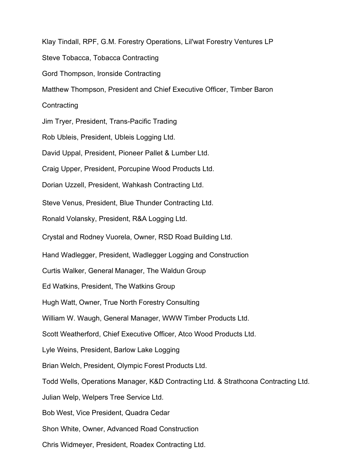Klay Tindall, RPF, G.M. Forestry Operations, Lil'wat Forestry Ventures LP Steve Tobacca, Tobacca Contracting Gord Thompson, Ironside Contracting Matthew Thompson, President and Chief Executive Officer, Timber Baron **Contracting** Jim Tryer, President, Trans-Pacific Trading Rob Ubleis, President, Ubleis Logging Ltd. David Uppal, President, Pioneer Pallet & Lumber Ltd. Craig Upper, President, Porcupine Wood Products Ltd. Dorian Uzzell, President, Wahkash Contracting Ltd. Steve Venus, President, Blue Thunder Contracting Ltd. Ronald Volansky, President, R&A Logging Ltd. Crystal and Rodney Vuorela, Owner, RSD Road Building Ltd. Hand Wadlegger, President, Wadlegger Logging and Construction Curtis Walker, General Manager, The Waldun Group Ed Watkins, President, The Watkins Group Hugh Watt, Owner, True North Forestry Consulting William W. Waugh, General Manager, WWW Timber Products Ltd. Scott Weatherford, Chief Executive Officer, Atco Wood Products Ltd. Lyle Weins, President, Barlow Lake Logging Brian Welch, President, Olympic Forest Products Ltd. Todd Wells, Operations Manager, K&D Contracting Ltd. & Strathcona Contracting Ltd. Julian Welp, Welpers Tree Service Ltd. Bob West, Vice President, Quadra Cedar Shon White, Owner, Advanced Road Construction Chris Widmeyer, President, Roadex Contracting Ltd.